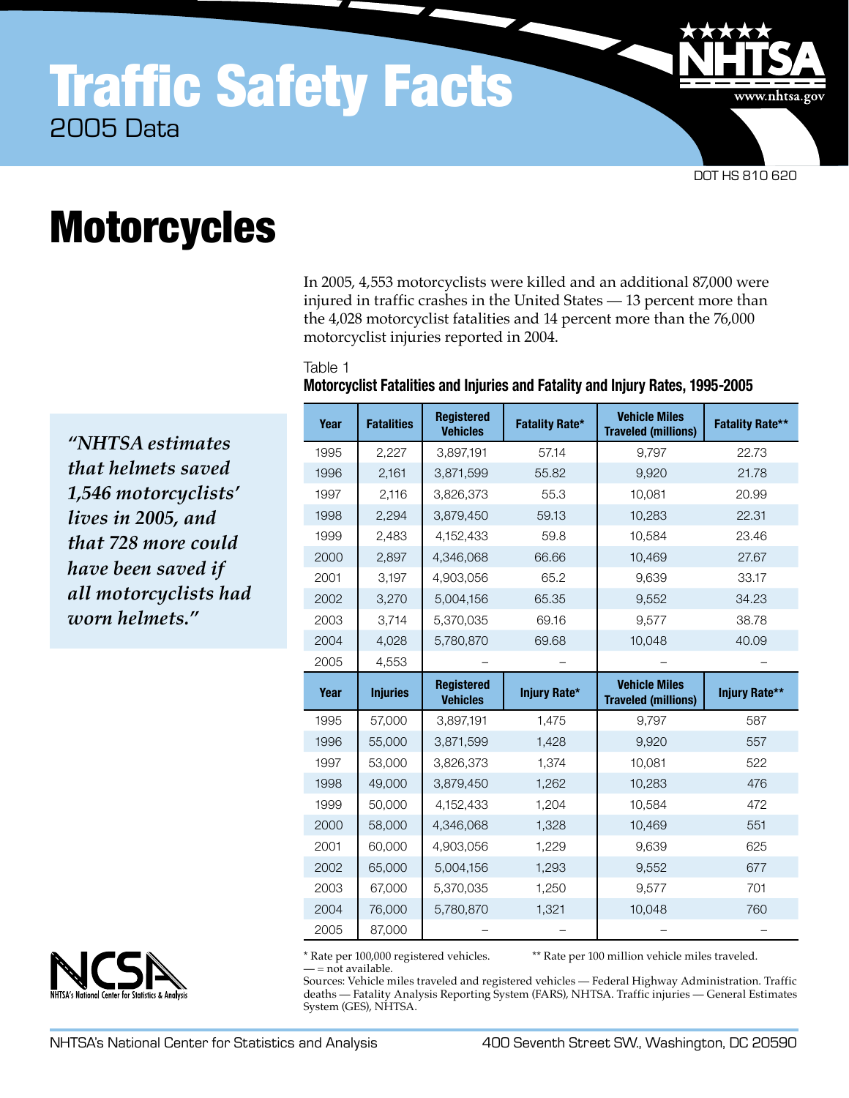## Traffic Safety Facts 2005 Data

DOT HS 810 620

www.nhtsa.gov

# **Motorcycles**

In 2005, 4,553 motorcyclists were killed and an additional 87,000 were injured in traffic crashes in the United States — 13 percent more than the 4,028 motorcyclist fatalities and 14 percent more than the 76,000 motorcyclist injuries reported in 2004.

#### Table 1

#### **Motorcyclist Fatalities and Injuries and Fatality and Injury Rates, 1995-2005**

*"NHTSA estimates that helmets saved 1,546 motorcyclists' lives in 2005, and that 728 more could have been saved if all motorcyclists had worn helmets."* 

| Year | <b>Fatalities</b> | <b>Registered</b><br><b>Vehicles</b> | <b>Fatality Rate*</b> | <b>Vehicle Miles</b><br><b>Traveled (millions)</b> | <b>Fatality Rate**</b> |
|------|-------------------|--------------------------------------|-----------------------|----------------------------------------------------|------------------------|
| 1995 | 2,227             | 3,897,191                            | 57.14                 | 9,797                                              | 22.73                  |
| 1996 | 2,161             | 3,871,599                            | 55.82                 | 9,920                                              | 21.78                  |
| 1997 | 2,116             | 3,826,373                            | 55.3                  | 10,081                                             | 20.99                  |
| 1998 | 2,294             | 3,879,450                            | 59.13                 | 10,283                                             | 22.31                  |
| 1999 | 2,483             | 4,152,433                            | 59.8                  | 10,584                                             | 23.46                  |
| 2000 | 2,897             | 4,346,068                            | 66.66                 | 10,469                                             | 27.67                  |
| 2001 | 3,197             | 4,903,056                            | 65.2                  | 9,639                                              | 33.17                  |
| 2002 | 3,270             | 5,004,156                            | 65.35                 | 9,552                                              | 34.23                  |
| 2003 | 3,714             | 5,370,035                            | 69.16                 | 9,577                                              | 38.78                  |
| 2004 | 4,028             | 5,780,870                            | 69.68                 | 10,048                                             | 40.09                  |
| 2005 | 4,553             |                                      |                       |                                                    |                        |
|      |                   |                                      |                       |                                                    |                        |
| Year | <b>Injuries</b>   | <b>Registered</b><br><b>Vehicles</b> | Injury Rate*          | <b>Vehicle Miles</b><br><b>Traveled (millions)</b> | Injury Rate**          |
| 1995 | 57,000            | 3,897,191                            | 1,475                 | 9,797                                              | 587                    |
| 1996 | 55,000            | 3,871,599                            | 1,428                 | 9,920                                              | 557                    |
| 1997 | 53,000            | 3,826,373                            | 1,374                 | 10,081                                             | 522                    |
| 1998 | 49,000            | 3,879,450                            | 1,262                 | 10,283                                             | 476                    |
| 1999 | 50,000            | 4,152,433                            | 1,204                 | 10,584                                             | 472                    |
| 2000 | 58,000            | 4,346,068                            | 1,328                 | 10,469                                             | 551                    |
| 2001 | 60,000            | 4,903,056                            | 1,229                 | 9,639                                              | 625                    |
| 2002 | 65,000            | 5,004,156                            | 1,293                 | 9,552                                              | 677                    |
| 2003 | 67,000            | 5,370,035                            | 1,250                 | 9,577                                              | 701                    |
| 2004 | 76,000            | 5,780,870                            | 1,321                 | 10,048                                             | 760                    |

\* Rate per 100,000 registered vehicles. \*\* Rate per 100 million vehicle miles traveled.

— = not available.

Sources: Vehicle miles traveled and registered vehicles — Federal Highway Administration. Traffic deaths — Fatality Analysis Reporting System (FARS), NHTSA. Traffic injuries — General Estimates System (GES), NHTSA.

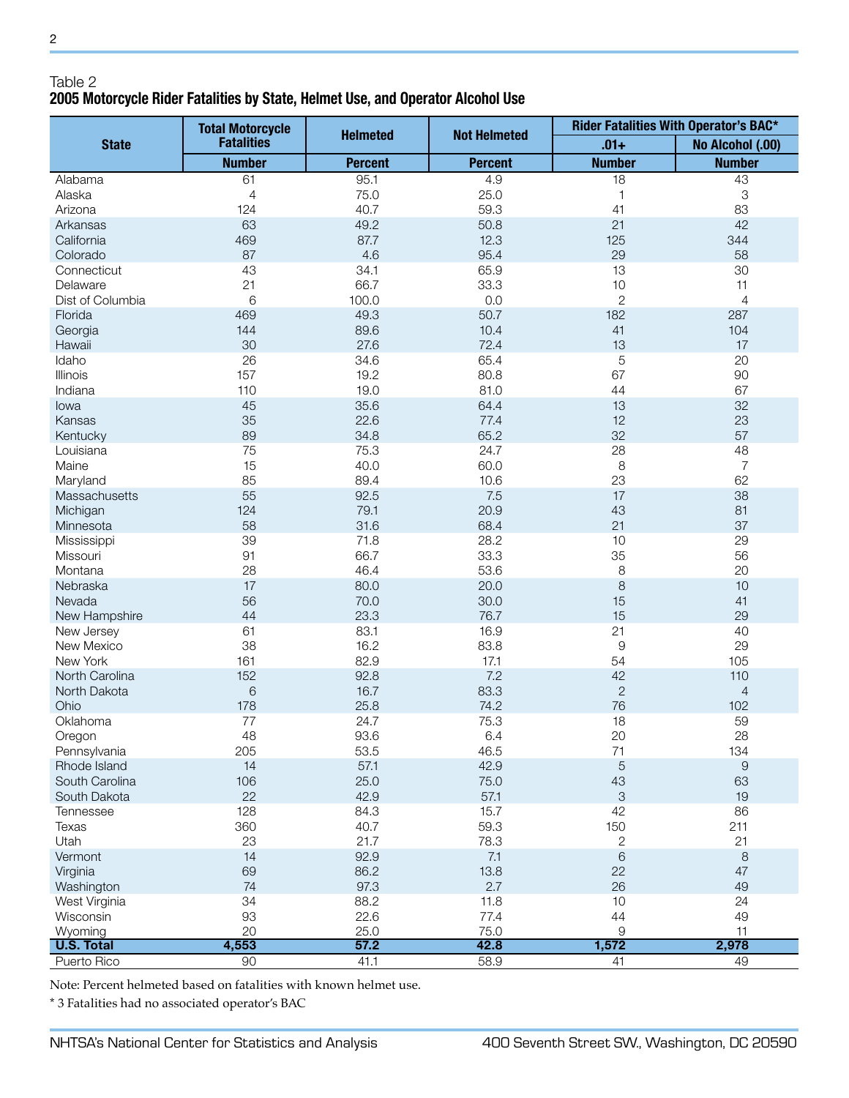### Table 2 **2005 Motorcycle Rider Fatalities by State, Helmet Use, and Operator Alcohol Use**

|                           | <b>Total Motorcycle</b><br><b>Fatalities</b> | <b>Helmeted</b> | <b>Not Helmeted</b> | Rider Fatalities With Operator's BAC* |                           |
|---------------------------|----------------------------------------------|-----------------|---------------------|---------------------------------------|---------------------------|
| <b>State</b>              |                                              |                 |                     | $.01 +$                               | No Alcohol (.00)          |
|                           | <b>Number</b>                                | <b>Percent</b>  | <b>Percent</b>      | <b>Number</b>                         | <b>Number</b>             |
| Alabama                   | 61                                           | 95.1            | 4.9                 | 18                                    | 43                        |
| Alaska                    | $\overline{4}$                               | 75.0            | 25.0                | $\mathbf{1}$                          | $\ensuremath{\mathsf{3}}$ |
| Arizona                   | 124                                          | 40.7            | 59.3                | 41                                    | 83                        |
| Arkansas                  | 63                                           | 49.2            | 50.8                | 21                                    | 42                        |
| California                | 469                                          | 87.7            | 12.3                | 125                                   | 344                       |
| Colorado                  | 87                                           | 4.6             | 95.4                | 29                                    | 58                        |
| Connecticut               | 43                                           | 34.1            | 65.9                | 13                                    | 30                        |
| Delaware                  | 21                                           | 66.7            | 33.3                | 10                                    | 11                        |
| Dist of Columbia          | 6                                            | 100.0           | 0.0                 | $\overline{c}$                        | $\overline{4}$            |
| Florida                   | 469                                          | 49.3            | 50.7                | 182                                   | 287                       |
| Georgia                   | 144                                          | 89.6            | 10.4                | 41                                    | 104                       |
| Hawaii                    | 30                                           | 27.6            | 72.4                | 13                                    | 17                        |
| Idaho                     | 26                                           | 34.6            | 65.4                | 5                                     | 20                        |
| Illinois                  | 157                                          | 19.2            | 80.8                | 67                                    | 90                        |
| Indiana                   | 110                                          | 19.0            | 81.0                | 44                                    | 67                        |
| lowa                      | 45                                           | 35.6            | 64.4                | 13                                    | 32                        |
| Kansas                    | 35                                           | 22.6            | 77.4                | 12                                    | 23                        |
| Kentucky                  | 89                                           | 34.8            | 65.2                | 32                                    | 57                        |
| Louisiana                 | 75                                           | 75.3            | 24.7                | 28                                    | 48                        |
| Maine                     | 15                                           | 40.0            | 60.0                | 8                                     | $\overline{7}$            |
|                           | 85                                           | 89.4            | 10.6                | 23                                    | 62                        |
| Maryland<br>Massachusetts | 55                                           |                 | 7.5                 | 17                                    | 38                        |
|                           |                                              | 92.5            |                     |                                       |                           |
| Michigan                  | 124                                          | 79.1            | 20.9                | 43                                    | 81                        |
| Minnesota                 | 58                                           | 31.6            | 68.4                | 21                                    | 37                        |
| Mississippi               | 39                                           | 71.8            | 28.2                | 10                                    | 29                        |
| Missouri                  | 91                                           | 66.7            | 33.3                | 35                                    | 56                        |
| Montana                   | 28                                           | 46.4            | 53.6                | 8                                     | 20                        |
| Nebraska                  | 17                                           | 80.0            | 20.0                | 8                                     | 10                        |
| Nevada                    | 56                                           | 70.0            | 30.0                | 15                                    | 41                        |
| New Hampshire             | 44                                           | 23.3            | 76.7                | 15                                    | 29                        |
| New Jersey                | 61                                           | 83.1            | 16.9                | 21                                    | 40                        |
| New Mexico                | 38                                           | 16.2            | 83.8                | 9                                     | 29                        |
| New York                  | 161                                          | 82.9            | 17.1                | 54                                    | 105                       |
| North Carolina            | 152                                          | 92.8            | 7.2                 | 42                                    | 110                       |
| North Dakota              | $\,$ 6 $\,$                                  | 16.7            | 83.3                | $\mathbf{2}$                          | $\overline{4}$            |
| Ohio                      | 178                                          | 25.8            | 74.2                | 76                                    | 102                       |
| Oklahoma                  | 77                                           | 24.7            | 75.3                | 18                                    | 59                        |
| Oregon                    | 48                                           | 93.6            | 6.4                 | 20                                    | 28                        |
| Pennsylvania              | 205                                          | 53.5            | 46.5                | 71                                    | 134                       |
| Rhode Island              | 14                                           | 57.1            | 42.9                | 5                                     | 9                         |
| South Carolina            | 106                                          | 25.0            | 75.0                | 43                                    | 63                        |
| South Dakota              | 22                                           | 42.9            | 57.1                | $\ensuremath{\mathsf{3}}$             | 19                        |
| Tennessee                 | 128                                          | 84.3            | 15.7                | 42                                    | 86                        |
| Texas                     | 360                                          | 40.7            | 59.3                | 150                                   | 211                       |
| Utah                      | 23                                           | 21.7            | 78.3                | 2                                     | 21                        |
| Vermont                   | 14                                           | 92.9            | 7.1                 | $\,$ 6 $\,$                           | $\,8\,$                   |
| Virginia                  | 69                                           | 86.2            | 13.8                | 22                                    | 47                        |
| Washington                | 74                                           | 97.3            | 2.7                 | 26                                    | 49                        |
| West Virginia             | 34                                           | 88.2            | 11.8                | 10                                    | 24                        |
| Wisconsin                 | 93                                           | 22.6            | 77.4                | 44                                    | 49                        |
| Wyoming                   | 20                                           | 25.0            | 75.0                | 9                                     | 11                        |
| <b>U.S. Total</b>         | 4,553                                        | 57.2            | 42.8                | 1,572                                 | 2,978                     |
| Puerto Rico               | 90                                           | 41.1            | 58.9                | 41                                    | 49                        |

Note: Percent helmeted based on fatalities with known helmet use.

\* 3 Fatalities had no associated operator's BAC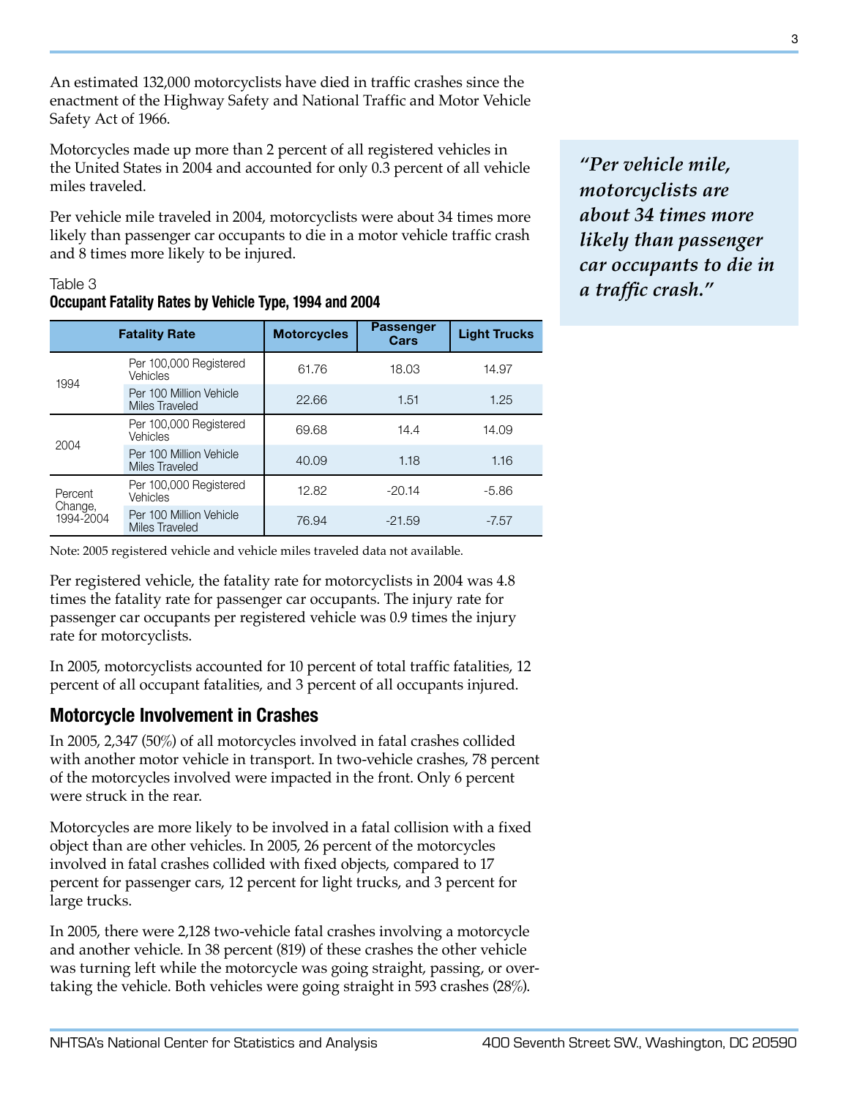An estimated 132,000 motorcyclists have died in traffic crashes since the enactment of the Highway Safety and National Traffic and Motor Vehicle Safety Act of 1966.

Motorcycles made up more than 2 percent of all registered vehicles in the United States in 2004 and accounted for only 0.3 percent of all vehicle miles traveled.

Per vehicle mile traveled in 2004, motorcyclists were about 34 times more likely than passenger car occupants to die in a motor vehicle traffic crash and 8 times more likely to be injured.

## Table 3

#### **Occupant Fatality Rates by Vehicle Type, 1994 and 2004**

|                                 | <b>Fatality Rate</b>                      | <b>Motorcycles</b> | <b>Passenger</b><br>Cars | <b>Light Trucks</b> |
|---------------------------------|-------------------------------------------|--------------------|--------------------------|---------------------|
| 1994                            | Per 100,000 Registered<br>Vehicles        | 61.76              | 18.03                    | 14.97               |
|                                 | Per 100 Million Vehicle<br>Miles Traveled | 22.66              | 1.51                     | 1.25                |
| 2004                            | Per 100,000 Registered<br>Vehicles        | 69.68              | 14.4                     | 14.09               |
|                                 | Per 100 Million Vehicle<br>Miles Traveled | 40.09              | 1.18                     | 1.16                |
| Percent<br>Change,<br>1994-2004 | Per 100,000 Registered<br>Vehicles        | 12.82              | $-20.14$                 | $-5.86$             |
|                                 | Per 100 Million Vehicle<br>Miles Traveled | 76.94              | $-21.59$                 | $-7.57$             |

Note: 2005 registered vehicle and vehicle miles traveled data not available.

Per registered vehicle, the fatality rate for motorcyclists in 2004 was 4.8 times the fatality rate for passenger car occupants. The injury rate for passenger car occupants per registered vehicle was 0.9 times the injury rate for motorcyclists.

In 2005, motorcyclists accounted for 10 percent of total traffic fatalities, 12 percent of all occupant fatalities, and 3 percent of all occupants injured.

## **Motorcycle Involvement in Crashes**

In 2005, 2,347 (50%) of all motorcycles involved in fatal crashes collided with another motor vehicle in transport. In two-vehicle crashes, 78 percent of the motorcycles involved were impacted in the front. Only 6 percent were struck in the rear.

Motorcycles are more likely to be involved in a fatal collision with a fixed object than are other vehicles. In 2005, 26 percent of the motorcycles involved in fatal crashes collided with fixed objects, compared to 17 percent for passenger cars, 12 percent for light trucks, and 3 percent for large trucks.

In 2005, there were 2,128 two-vehicle fatal crashes involving a motorcycle and another vehicle. In 38 percent (819) of these crashes the other vehicle was turning left while the motorcycle was going straight, passing, or overtaking the vehicle. Both vehicles were going straight in 593 crashes (28%).

*"Per vehicle mile, motorcyclists are about 34 times more likely than passenger car occupants to die in a traffic crash."*

3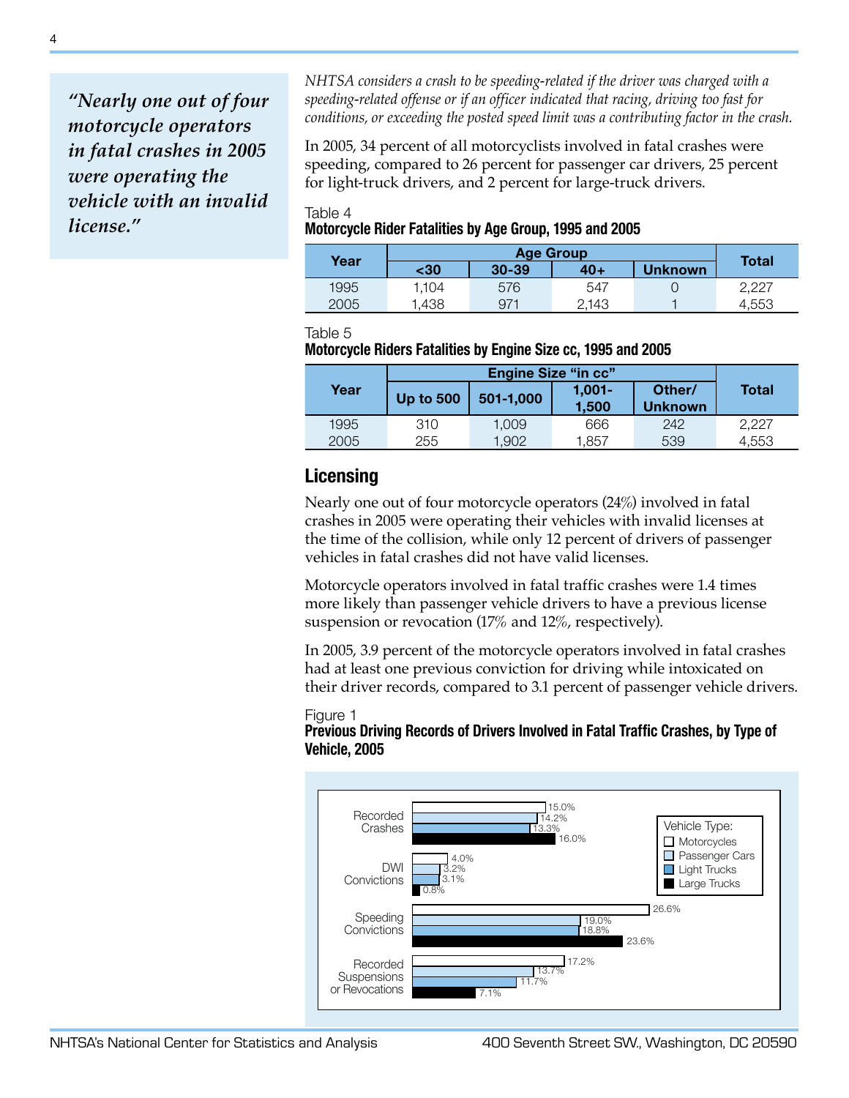*"Nearly one out of four motorcycle operators in fatal crashes in 2005 were operating the vehicle with an invalid license."*

*NHTSA considers a crash to be speeding-related if the driver was charged with a speeding-related offense or if an officer indicated that racing, driving too fast for conditions, or exceeding the posted speed limit was a contributing factor in the crash.*

In 2005, 34 percent of all motorcyclists involved in fatal crashes were speeding, compared to 26 percent for passenger car drivers, 25 percent for light-truck drivers, and 2 percent for large-truck drivers.

#### Table 4 **Motorcycle Rider Fatalities by Age Group, 1995 and 2005**

| Year | <b>Age Group</b> |           |       |                | <b>Total</b> |
|------|------------------|-----------|-------|----------------|--------------|
|      | -30              | $30 - 39$ | 40+   | <b>Unknown</b> |              |
| 1995 | 1.104            | 576       | 547   |                | 2.227        |
| 2005 | .438             | $97^+$    | 2.143 |                | 4.553        |

#### Table 5

#### **Motorcycle Riders Fatalities by Engine Size cc, 1995 and 2005**

|      | <b>Engine Size "in cc"</b> |           |                    |                          |              |
|------|----------------------------|-----------|--------------------|--------------------------|--------------|
| Year | Up to $500$                | 501-1,000 | $1.001 -$<br>1.500 | Other/<br><b>Unknown</b> | <b>Total</b> |
| 1995 | 310                        | 1.009     | 666                | 242                      | 2.227        |
| 2005 | 255                        | 1.902     | 1.857              | 539                      | 4.553        |

## **Licensing**

Nearly one out of four motorcycle operators (24%) involved in fatal crashes in 2005 were operating their vehicles with invalid licenses at the time of the collision, while only 12 percent of drivers of passenger vehicles in fatal crashes did not have valid licenses.

Motorcycle operators involved in fatal traffic crashes were 1.4 times more likely than passenger vehicle drivers to have a previous license suspension or revocation (17% and 12%, respectively).

In 2005, 3.9 percent of the motorcycle operators involved in fatal crashes had at least one previous conviction for driving while intoxicated on their driver records, compared to 3.1 percent of passenger vehicle drivers.

#### Figure 1 **Previous Driving Records of Drivers Involved in Fatal Traffic Crashes, by Type of Vehicle, 2005**

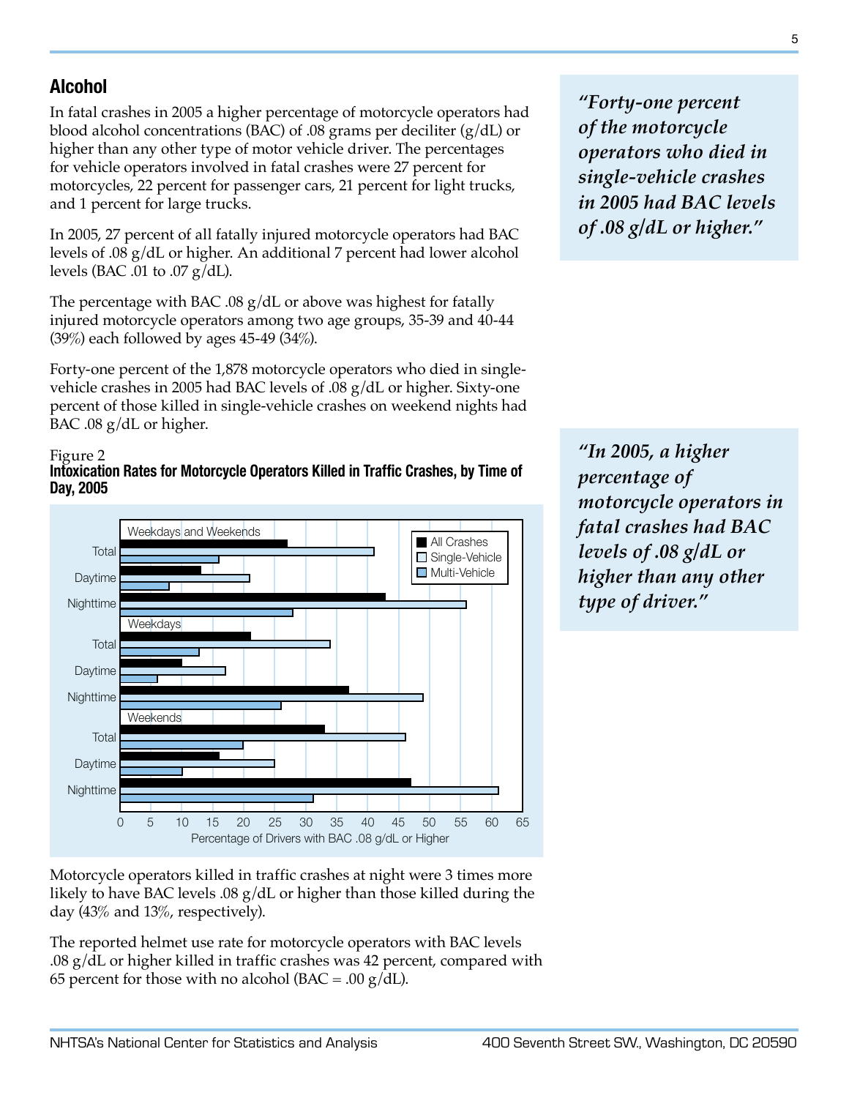## **Alcohol**

In fatal crashes in 2005 a higher percentage of motorcycle operators had blood alcohol concentrations (BAC) of .08 grams per deciliter  $(g/dL)$  or higher than any other type of motor vehicle driver. The percentages for vehicle operators involved in fatal crashes were 27 percent for motorcycles, 22 percent for passenger cars, 21 percent for light trucks, and 1 percent for large trucks.

In 2005, 27 percent of all fatally injured motorcycle operators had BAC levels of .08 g/dL or higher. An additional 7 percent had lower alcohol levels (BAC .01 to .07  $g/dL$ ).

The percentage with BAC .08  $g/dL$  or above was highest for fatally injured motorcycle operators among two age groups, 35-39 and 40-44 (39%) each followed by ages 45-49 (34%).

Forty-one percent of the 1,878 motorcycle operators who died in singlevehicle crashes in 2005 had BAC levels of .08 g/dL or higher. Sixty-one percent of those killed in single-vehicle crashes on weekend nights had BAC .08 g/dL or higher.

#### Figure 2





*"Forty-one percent of the motorcycle operators who died in single-vehicle crashes in 2005 had BAC levels of .08 g/dL or higher."*

*"In 2005, a higher percentage of motorcycle operators in fatal crashes had BAC levels of .08 g/dL or higher than any other type of driver."*

Motorcycle operators killed in traffic crashes at night were 3 times more likely to have BAC levels .08 g/dL or higher than those killed during the day (43% and 13%, respectively).

The reported helmet use rate for motorcycle operators with BAC levels .08 g/dL or higher killed in traffic crashes was 42 percent, compared with 65 percent for those with no alcohol (BAC = .00  $g/dL$ ).